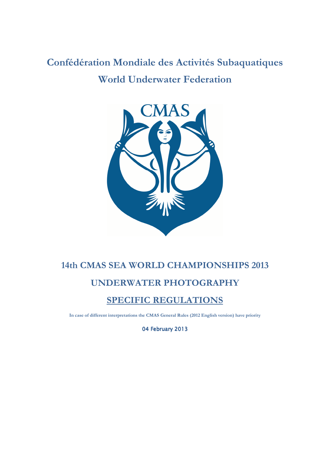# **Confédération Mondiale des Activités Subaquatiques World Underwater Federation**



## **14th CMAS SEA WORLD CHAMPIONSHIPS 2013 UNDERWATER PHOTOGRAPHY**

### **SPECIFIC REGULATIONS**

**In case of different interpretations the CMAS General Rules (2012 English version) have priority** 

04 February 2013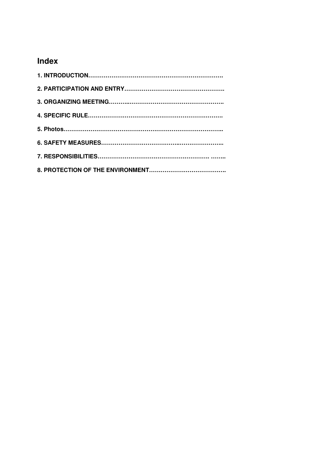## **Index**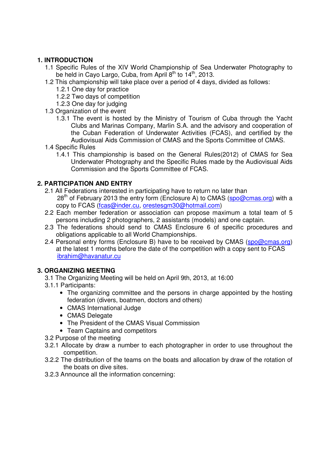#### **1. INTRODUCTION**

- 1.1 Specific Rules of the XIV World Championship of Sea Underwater Photography to be held in Cayo Largo, Cuba, from April 8<sup>th</sup> to 14<sup>th</sup>, 2013.
- 1.2 This championship will take place over a period of 4 days, divided as follows:
	- 1.2.1 One day for practice
	- 1.2.2 Two days of competition
	- 1.2.3 One day for judging
- 1.3 Organization of the event
	- 1.3.1 The event is hosted by the Ministry of Tourism of Cuba through the Yacht Clubs and Marinas Company, Marlin S.A. and the advisory and cooperation of the Cuban Federation of Underwater Activities (FCAS), and certified by the Audiovisual Aids Commission of CMAS and the Sports Committee of CMAS.
- 1.4 Specific Rules
	- 1.4.1 This championship is based on the General Rules(2012) of CMAS for Sea Underwater Photography and the Specific Rules made by the Audiovisual Aids Commission and the Sports Committee of FCAS.

#### **2. PARTICIPATION AND ENTRY**

- 2.1 All Federations interested in participating have to return no later than  $28<sup>th</sup>$  of February 2013 the entry form (Enclosure A) to CMAS (spo@cmas.org) with a copy to FCAS (fcas@inder.cu, orestesgm30@hotmail.com)
- 2.2 Each member federation or association can propose maximum a total team of 5 persons including 2 photographers, 2 assistants (models) and one captain.
- 2.3 The federations should send to CMAS Enclosure 6 of specific procedures and obligations applicable to all World Championships.
- 2.4 Personal entry forms (Enclosure B) have to be received by CMAS (spo@cmas.org) at the latest 1 months before the date of the competition with a copy sent to FCAS ibrahim@havanatur.cu

#### **3. ORGANIZING MEETING**

- 3.1 The Organizing Meeting will be held on April 9th, 2013, at 16:00
- 3.1.1 Participants:
	- The organizing committee and the persons in charge appointed by the hosting federation (divers, boatmen, doctors and others)
	- CMAS International Judge
	- CMAS Delegate
	- The President of the CMAS Visual Commission
	- Team Captains and competitors
- 3.2 Purpose of the meeting
- 3.2.1 Allocate by draw a number to each photographer in order to use throughout the competition.
- 3.2.2 The distribution of the teams on the boats and allocation by draw of the rotation of the boats on dive sites.
- 3.2.3 Announce all the information concerning: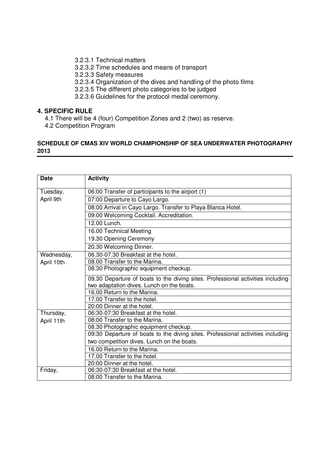- 3.2.3.1 Technical matters
- 3.2.3.2 Time schedules and means of transport
- 3.2.3.3 Safety measures
- 3.2.3.4 Organization of the dives and handling of the photo films
- 3.2.3.5 The different photo categories to be judged
- 3.2.3.6 Guidelines for the protocol medal ceremony.

#### **4. SPECIFIC RULE**

- 4.1 There will be 4 (four) Competition Zones and 2 (two) as reserve.
- 4.2 Competition Program

#### **SCHEDULE OF CMAS XIV WORLD CHAMPIONSHIP OF SEA UNDERWATER PHOTOGRAPHY 2013**

| <b>Date</b> | <b>Activity</b>                                                                 |  |  |  |  |  |
|-------------|---------------------------------------------------------------------------------|--|--|--|--|--|
| Tuesday,    | 06:00 Transfer of participants to the airport (1)                               |  |  |  |  |  |
| April 9th   | 07:00 Departure to Cayo Largo.                                                  |  |  |  |  |  |
|             | 08:00 Arrival in Cayo Largo. Transfer to Playa Blanca Hotel.                    |  |  |  |  |  |
|             |                                                                                 |  |  |  |  |  |
|             | 09:00 Welcoming Cocktail. Accreditation.                                        |  |  |  |  |  |
|             | 12.00 Lunch.                                                                    |  |  |  |  |  |
|             | 16.00 Technical Meeting                                                         |  |  |  |  |  |
|             | 19.30 Opening Ceremony                                                          |  |  |  |  |  |
|             | 20.30 Welcoming Dinner.                                                         |  |  |  |  |  |
| Wednesday,  | 06.30-07.30 Breakfast at the hotel.                                             |  |  |  |  |  |
| April 10th  | 08.00 Transfer to the Marina.                                                   |  |  |  |  |  |
|             | 08.30 Photographic equipment checkup.                                           |  |  |  |  |  |
|             | 09.30 Departure of boats to the diving sites. Professional activities including |  |  |  |  |  |
|             | two adaptation dives. Lunch on the boats.                                       |  |  |  |  |  |
|             | 16.00 Return to the Marina.                                                     |  |  |  |  |  |
|             | 17.00 Transfer to the hotel.                                                    |  |  |  |  |  |
|             | 20:00 Dinner at the hotel.                                                      |  |  |  |  |  |
| Thursday,   | 06:30-07:30 Breakfast at the hotel.                                             |  |  |  |  |  |
| April 11th  | 08:00 Transfer to the Marina.                                                   |  |  |  |  |  |
|             | 08.30 Photographic equipment checkup.                                           |  |  |  |  |  |
|             | 09:30 Departure of boats to the diving sites. Professional activities including |  |  |  |  |  |
|             | two competition dives. Lunch on the boats.                                      |  |  |  |  |  |
|             | 16.00 Return to the Marina.                                                     |  |  |  |  |  |
|             | 17.00 Transfer to the hotel.                                                    |  |  |  |  |  |
|             | 20:00 Dinner at the hotel.                                                      |  |  |  |  |  |
| Friday,     | 06:30-07:30 Breakfast at the hotel.                                             |  |  |  |  |  |
|             | 08:00 Transfer to the Marina.                                                   |  |  |  |  |  |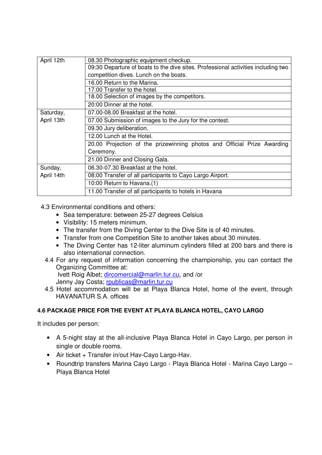| April 12th | 08.30 Photographic equipment checkup.                                             |  |  |  |  |
|------------|-----------------------------------------------------------------------------------|--|--|--|--|
|            | 09:30 Departure of boats to the dive sites. Professional activities including two |  |  |  |  |
|            | competition dives. Lunch on the boats.                                            |  |  |  |  |
|            | 16.00 Return to the Marina.                                                       |  |  |  |  |
|            | 17.00 Transfer to the hotel.                                                      |  |  |  |  |
|            | 18.00 Selection of images by the competitors.                                     |  |  |  |  |
|            | 20:00 Dinner at the hotel.                                                        |  |  |  |  |
| Saturday,  | 07.00-08.00 Breakfast at the hotel.                                               |  |  |  |  |
| April 13th | 07.00 Submission of images to the Jury for the contest.                           |  |  |  |  |
|            | 09.30 Jury deliberation.                                                          |  |  |  |  |
|            | 12.00 Lunch at the Hotel.                                                         |  |  |  |  |
|            | 20.00 Projection of the prizewinning photos and Official Prize Awarding           |  |  |  |  |
|            | Ceremony.                                                                         |  |  |  |  |
|            | 21.00 Dinner and Closing Gala.                                                    |  |  |  |  |
| Sunday,    | 06.30-07.30 Breakfast at the hotel.                                               |  |  |  |  |
| April 14th | 08:00 Transfer of all participants to Cayo Largo Airport.                         |  |  |  |  |
|            | 10:00 Return to Havana.(1)                                                        |  |  |  |  |
|            | 11.00 Transfer of all participants to hotels in Havana                            |  |  |  |  |

4.3 Environmental conditions and others:

- Sea temperature: between 25-27 degrees Celsius
- Visibility: 15 meters minimum.
- The transfer from the Diving Center to the Dive Site is of 40 minutes.
- Transfer from one Competition Site to another takes about 30 minutes.
- The Diving Center has 12-liter aluminum cylinders filled at 200 bars and there is also international connection.
- 4.4 For any request of information concerning the championship, you can contact the Organizing Committee at:

 Ivett Roig Albet; dircomercial@marlin.tur.cu, and /or Jenny Jay Costa; rpublicas@marlin.tur.cu

4.5 Hotel accommodation will be at Playa Blanca Hotel, home of the event, through HAVANATUR S.A. offices

#### **4.6 PACKAGE PRICE FOR THE EVENT AT PLAYA BLANCA HOTEL, CAYO LARGO**

It includes per person:

- A 5-night stay at the all-inclusive Playa Blanca Hotel in Cayo Largo, per person in single or double rooms.
- Air ticket + Transfer in/out Hav-Cayo Largo-Hav.
- Roundtrip transfers Marina Cayo Largo Playa Blanca Hotel Marina Cayo Largo Playa Blanca Hotel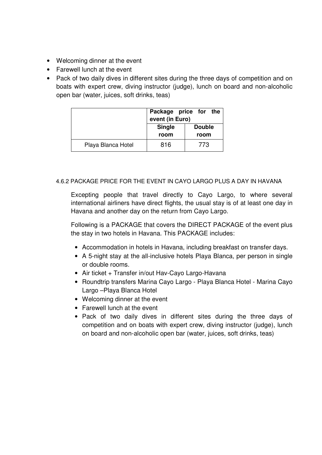- Welcoming dinner at the event
- Farewell lunch at the event
- Pack of two daily dives in different sites during the three days of competition and on boats with expert crew, diving instructor (judge), lunch on board and non-alcoholic open bar (water, juices, soft drinks, teas)

| Package price for the<br>event (in Euro) |                                |      |  |
|------------------------------------------|--------------------------------|------|--|
|                                          | <b>Single</b><br><b>Double</b> |      |  |
|                                          | room                           | room |  |
| Playa Blanca Hotel                       | 816                            | 773  |  |

#### 4.6.2 PACKAGE PRICE FOR THE EVENT IN CAYO LARGO PLUS A DAY IN HAVANA

Excepting people that travel directly to Cayo Largo, to where several international airliners have direct flights, the usual stay is of at least one day in Havana and another day on the return from Cayo Largo.

Following is a PACKAGE that covers the DIRECT PACKAGE of the event plus the stay in two hotels in Havana. This PACKAGE includes:

- Accommodation in hotels in Havana, including breakfast on transfer days.
- A 5-night stay at the all-inclusive hotels Playa Blanca, per person in single or double rooms.
- Air ticket + Transfer in/out Hav-Cayo Largo-Havana
- Roundtrip transfers Marina Cayo Largo Playa Blanca Hotel Marina Cayo Largo –Playa Blanca Hotel
- Welcoming dinner at the event
- Farewell lunch at the event
- Pack of two daily dives in different sites during the three days of competition and on boats with expert crew, diving instructor (judge), lunch on board and non-alcoholic open bar (water, juices, soft drinks, teas)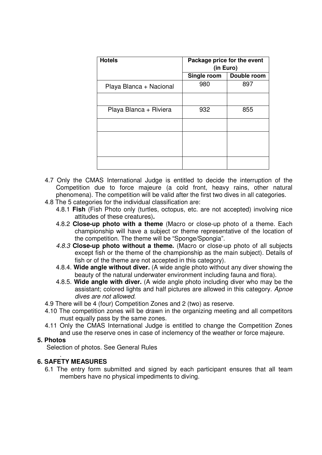| <b>Hotels</b>           | Package price for the event<br>(in Euro) |             |
|-------------------------|------------------------------------------|-------------|
|                         | Single room                              | Double room |
| Playa Blanca + Nacional | 980                                      | 897         |
|                         |                                          |             |
| Playa Blanca + Riviera  | 932                                      | 855         |
|                         |                                          |             |
|                         |                                          |             |
|                         |                                          |             |
|                         |                                          |             |

- 4.7 Only the CMAS International Judge is entitled to decide the interruption of the Competition due to force majeure (a cold front, heavy rains, other natural phenomena). The competition will be valid after the first two dives in all categories.
- 4.8 The 5 categories for the individual classification are:
	- 4.8.1 **Fish** (Fish Photo only (turtles, octopus, etc. are not accepted) involving nice attitudes of these creatures)**.**
	- 4.8.2 **Close-up photo with a theme** (Macro or close-up photo of a theme. Each championship will have a subject or theme representative of the location of the competition. The theme will be "Sponge/Spongia".
	- 4.8.3 **Close-up photo without a theme.** (Macro or close-up photo of all subjects except fish or the theme of the championship as the main subject). Details of fish or of the theme are not accepted in this category).
	- 4.8.4. **Wide angle without diver.** (A wide angle photo without any diver showing the beauty of the natural underwater environment including fauna and flora).
	- 4.8.5. **Wide angle with diver.** (A wide angle photo including diver who may be the assistant; colored lights and half pictures are allowed in this category. Apnoe dives are not allowed.
- 4.9 There will be 4 (four) Competition Zones and 2 (two) as reserve.
- 4.10 The competition zones will be drawn in the organizing meeting and all competitors must equally pass by the same zones.
- 4.11 Only the CMAS International Judge is entitled to change the Competition Zones and use the reserve ones in case of inclemency of the weather or force majeure.

#### **5. Photos**

Selection of photos. See General Rules

#### . **6. SAFETY MEASURES**

6.1 The entry form submitted and signed by each participant ensures that all team members have no physical impediments to diving.